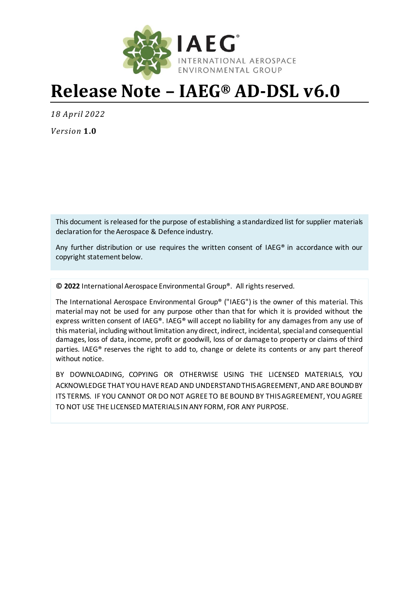

# **Release Note – IAEG® AD-DSL v6.0**

*18 April 2022*

*Version* **1.0**

This document is released for the purpose of establishing a standardized list for supplier materials declaration for the Aerospace & Defence industry.

Any further distribution or use requires the written consent of IAEG® in accordance with our copyright statement below.

**© 2022** International Aerospace Environmental Group®. All rights reserved.

The International Aerospace Environmental Group® ("IAEG") is the owner of this material. This material may not be used for any purpose other than that for which it is provided without the express written consent of IAEG®. IAEG® will accept no liability for any damages from any use of this material, including without limitation any direct, indirect, incidental, special and consequential damages, loss of data, income, profit or goodwill, loss of or damage to property or claims of third parties. IAEG® reserves the right to add to, change or delete its contents or any part thereof without notice.

BY DOWNLOADING, COPYING OR OTHERWISE USING THE LICENSED MATERIALS, YOU ACKNOWLEDGE THAT YOU HAVE READ AND UNDERSTAND THIS AGREEMENT, AND ARE BOUND BY ITS TERMS. IF YOU CANNOT OR DO NOT AGREE TO BE BOUND BY THIS AGREEMENT, YOU AGREE TO NOT USE THE LICENSED MATERIALS IN ANY FORM, FOR ANY PURPOSE.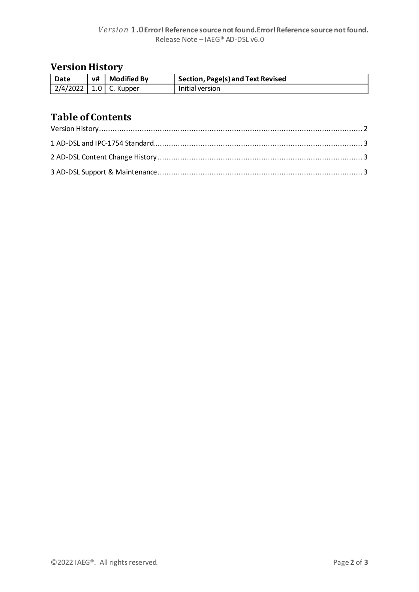## <span id="page-1-0"></span>**Version History**

| Date                         | v# | <b>Modified By</b> | Section, Page(s) and Text Revised |
|------------------------------|----|--------------------|-----------------------------------|
| $2/4/2022$   1.0   C. Kupper |    |                    | Initial version                   |

## **Table of Contents**